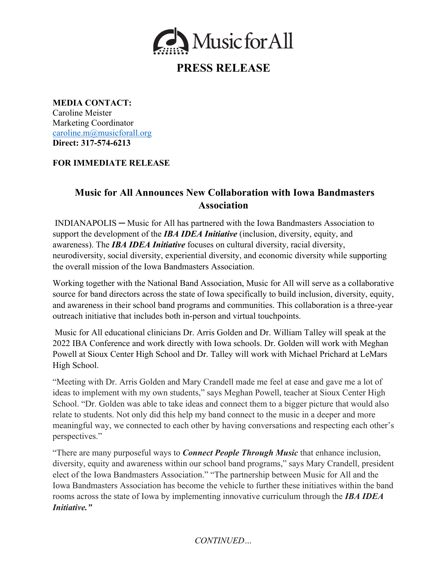

# **PRESS RELEASE**

**MEDIA CONTACT:** Caroline Meister Marketing Coordinator caroline.m@musicforall.org **Direct: 317-574-6213**

### **FOR IMMEDIATE RELEASE**

## **Music for All Announces New Collaboration with Iowa Bandmasters Association**

INDIANAPOLIS ─ Music for All has partnered with the Iowa Bandmasters Association to support the development of the *IBA IDEA Initiative* (inclusion, diversity, equity, and awareness). The *IBA IDEA Initiative* focuses on cultural diversity, racial diversity, neurodiversity, social diversity, experiential diversity, and economic diversity while supporting the overall mission of the Iowa Bandmasters Association.

Working together with the National Band Association, Music for All will serve as a collaborative source for band directors across the state of Iowa specifically to build inclusion, diversity, equity, and awareness in their school band programs and communities. This collaboration is a three-year outreach initiative that includes both in-person and virtual touchpoints.

Music for All educational clinicians Dr. Arris Golden and Dr. William Talley will speak at the 2022 IBA Conference and work directly with Iowa schools. Dr. Golden will work with Meghan Powell at Sioux Center High School and Dr. Talley will work with Michael Prichard at LeMars High School.

"Meeting with Dr. Arris Golden and Mary Crandell made me feel at ease and gave me a lot of ideas to implement with my own students," says Meghan Powell, teacher at Sioux Center High School. "Dr. Golden was able to take ideas and connect them to a bigger picture that would also relate to students. Not only did this help my band connect to the music in a deeper and more meaningful way, we connected to each other by having conversations and respecting each other's perspectives."

"There are many purposeful ways to *Connect People Through Music* that enhance inclusion, diversity, equity and awareness within our school band programs," says Mary Crandell, president elect of the Iowa Bandmasters Association." "The partnership between Music for All and the Iowa Bandmasters Association has become the vehicle to further these initiatives within the band rooms across the state of Iowa by implementing innovative curriculum through the *IBA IDEA Initiative."* 

### *CONTINUED…*